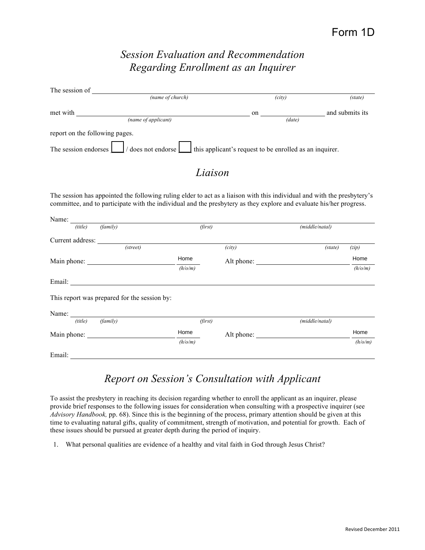## *Session Evaluation and Recommendation Regarding Enrollment as an Inquirer*

| The session of                                                                                                |              |                 |  |  |  |  |
|---------------------------------------------------------------------------------------------------------------|--------------|-----------------|--|--|--|--|
| (name of church)                                                                                              | (city)       | (state)         |  |  |  |  |
| met with<br>(name of applicant)                                                                               | on<br>(data) | and submits its |  |  |  |  |
| report on the following pages.                                                                                |              |                 |  |  |  |  |
| The session endorses $\Box$ / does not endorse $\Box$ this applicant's request to be enrolled as an inquirer. |              |                 |  |  |  |  |
| Liaison                                                                                                       |              |                 |  |  |  |  |

The session has appointed the following ruling elder to act as a liaison with this individual and with the presbytery's committee, and to participate with the individual and the presbytery as they explore and evaluate his/her progress.

| Name: $\frac{1}{\sqrt{1-\frac{1}{2}}\cdot\frac{1}{\sqrt{1-\frac{1}{2}}}}$ |                                                                                                                                                                                                                                |         |            |                |         |
|---------------------------------------------------------------------------|--------------------------------------------------------------------------------------------------------------------------------------------------------------------------------------------------------------------------------|---------|------------|----------------|---------|
| (title)                                                                   | (family)                                                                                                                                                                                                                       | (first) |            | (middle/natal) |         |
| Current address:                                                          |                                                                                                                                                                                                                                |         |            |                |         |
|                                                                           | (street)                                                                                                                                                                                                                       |         | (city)     | (state)        | (zip)   |
|                                                                           |                                                                                                                                                                                                                                | Home    | Alt phone: |                | Home    |
|                                                                           |                                                                                                                                                                                                                                | (h/o/m) |            |                | (h/o/m) |
|                                                                           |                                                                                                                                                                                                                                |         |            |                |         |
|                                                                           | This report was prepared for the session by:                                                                                                                                                                                   |         |            |                |         |
| Name: $\frac{1}{\sqrt{1-\frac{1}{2}}\cdot\frac{1}{2}}$                    |                                                                                                                                                                                                                                |         |            |                |         |
| (title)                                                                   | (family)                                                                                                                                                                                                                       | (first) |            | (middle/natal) |         |
| Main phone:                                                               |                                                                                                                                                                                                                                | Home    | Alt phone: |                | Home    |
|                                                                           |                                                                                                                                                                                                                                | (h/o/m) |            |                | (h/o/m) |
|                                                                           | Email: The contract of the contract of the contract of the contract of the contract of the contract of the contract of the contract of the contract of the contract of the contract of the contract of the contract of the con |         |            |                |         |
|                                                                           |                                                                                                                                                                                                                                |         |            |                |         |

## *Report on Session's Consultation with Applicant*

To assist the presbytery in reaching its decision regarding whether to enroll the applicant as an inquirer, please provide brief responses to the following issues for consideration when consulting with a prospective inquirer (see *Advisory Handbook,* pp. 68). Since this is the beginning of the process, primary attention should be given at this time to evaluating natural gifts, quality of commitment, strength of motivation, and potential for growth. Each of these issues should be pursued at greater depth during the period of inquiry.

1. What personal qualities are evidence of a healthy and vital faith in God through Jesus Christ?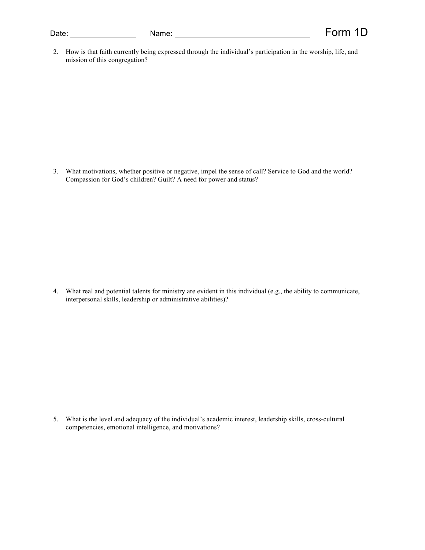| Date: | Nam |
|-------|-----|
|       |     |

2. How is that faith currently being expressed through the individual's participation in the worship, life, and mission of this congregation?

3. What motivations, whether positive or negative, impel the sense of call? Service to God and the world? Compassion for God's children? Guilt? A need for power and status?

4. What real and potential talents for ministry are evident in this individual (e.g., the ability to communicate, interpersonal skills, leadership or administrative abilities)?

5. What is the level and adequacy of the individual's academic interest, leadership skills, cross-cultural competencies, emotional intelligence, and motivations?